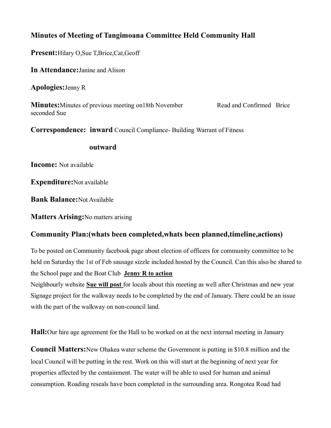## **Minutes of Meeting of Tangimoana Committee Held Community Hall**

**Present:**Hilary O,Sue T,Brice,Cat,Geoff

**In Attendance:**Janine and Alison

**Apologies:**Jenny R

**Minutes:** Minutes of previous meeting on 18th November Read and Confirmed Brice seconded Sue

**Correspondence: inward** Council Compliance- Building Warrant of Fitness

#### **outward**

**Income:** Not available

**Expenditure:**Not available

**Bank Balance:**Not Available

**Matters Arising:**No matters arising

### **Community Plan:(whats been completed,whats been planned,timeline,actions)**

To be posted on Community facebook page about election of officers for community committee to be held on Saturday the 1st of Feb sausage sizzle included hosted by the Council. Can this also be shared to the School page and the Boat Club **Jenny R to action**

Neighbourly website **Sue will post** for locals about this meeting as well after Christmas and new year Signage project for the walkway needs to be completed by the end of January. There could be an issue with the part of the walkway on non-council land.

**Hall:**Our hire age agreement for the Hall to be worked on at the next internal meeting in January

**Council Matters:**New Ohakea water scheme the Government is putting in \$10.8 million and the local Council will be putting in the rest. Work on this will start at the beginning of next year for properties affected by the containment. The water will be able to used for human and animal consumption. Roading reseals have been completed in the surrounding area. Rongotea Road had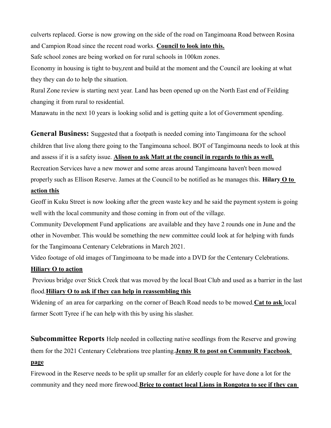culverts replaced. Gorse is now growing on the side of the road on Tangimoana Road between Rosina and Campion Road since the recent road works. **Council to look into this.**

Safe school zones are being worked on for rural schools in 100km zones.

Economy in housing is tight to buy,rent and build at the moment and the Council are looking at what they they can do to help the situation.

Rural Zone review is starting next year. Land has been opened up on the North East end of Feilding changing it from rural to residential.

Manawatu in the next 10 years is looking solid and is getting quite a lot of Government spending.

**General Business:** Suggested that a footpath is needed coming into Tangimoana for the school children that live along there going to the Tangimoana school. BOT of Tangimoana needs to look at this and assess if it is a safety issue. **Alison to ask Matt at the council in regards to this as well.** Recreation Services have a new mower and some areas around Tangimoana haven't been mowed properly such as Ellison Reserve. James at the Council to be notified as he manages this. **Hilary O to action this**

Geoff in Kuku Street is now looking after the green waste key and he said the payment system is going well with the local community and those coming in from out of the village.

Community Development Fund applications are available and they have 2 rounds one in June and the other in November. This would be something the new committee could look at for helping with funds for the Tangimoana Centenary Celebrations in March 2021.

Video footage of old images of Tangimoana to be made into a DVD for the Centenary Celebrations.

#### **Hiliary O to action**

Previous bridge over Stick Creek that was moved by the local Boat Club and used as a barrier in the last flood.**Hiliary O to ask if they can help in reassembling this**

Widening of an area for carparking on the corner of Beach Road needs to be mowed.**Cat to ask** local farmer Scott Tyree if he can help with this by using his slasher.

**Subcommittee Reports** Help needed in collecting native seedlings from the Reserve and growing

them for the 2021 Centenary Celebrations tree planting.**Jenny R to post on Community Facebook** 

#### **page**

Firewood in the Reserve needs to be split up smaller for an elderly couple for have done a lot for the community and they need more firewood.**Brice to contact local Lions in Rongotea to see if they can**